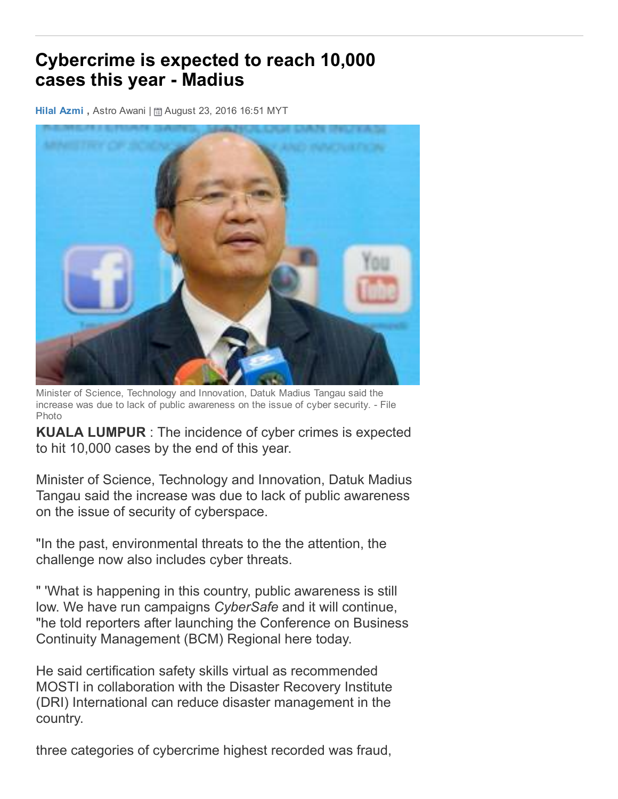## Cybercrime is expected to reach 10,000 cases this year - Madius

Hilal [Azmi](http://www.astroawani.com/news/author/hilal-azmi), Astro Awani | a August 23, 2016 16:51 MYT



Minister of Science, Technology and Innovation, Datuk Madius Tangau said the increase was due to lack of public awareness on the issue of cyber security. File Photo

KUALA LUMPUR : The incidence of cyber crimes is expected to hit 10,000 cases by the end of this year.

Minister of Science, Technology and Innovation, Datuk Madius Tangau said the increase was due to lack of public awareness on the issue of security of cyberspace.

"In the past, environmental threats to the the attention, the challenge now also includes cyber threats.

" 'What is happening in this country, public awareness is still low. We have run campaigns *CyberSafe* and it will continue, "he told reporters after launching the Conference on Business Continuity Management (BCM) Regional here today.

He said certification safety skills virtual as recommended MOSTI in collaboration with the Disaster Recovery Institute (DRI) International can reduce disaster management in the country.

three categories of cybercrime highest recorded was fraud,